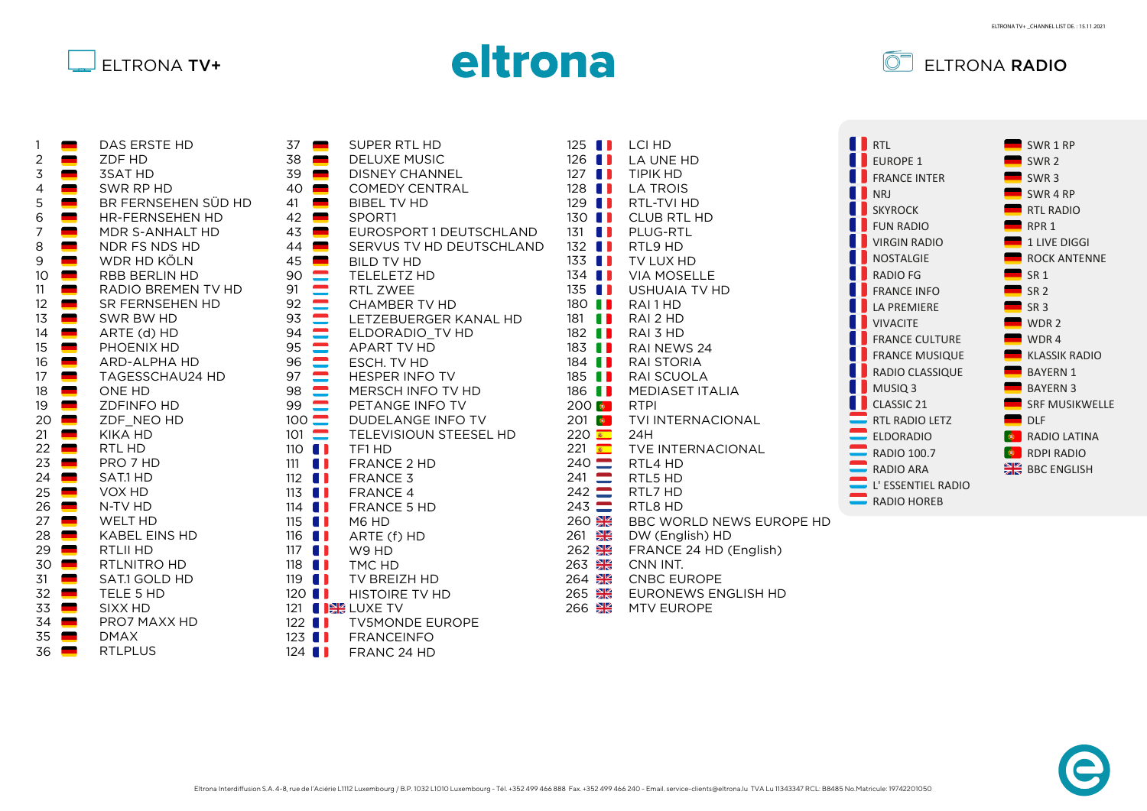





| 1              | DAS ERSTE HD           |
|----------------|------------------------|
| $\overline{c}$ | ZDF HD                 |
| $\frac{3}{4}$  | <b>3SAT HD</b>         |
|                | SWR RP HD              |
| 5              | BR FERNSEHEN SÜD HD    |
| 6              | <b>HR-FERNSEHEN HD</b> |
| 7              | MDR S-ANHALT HD        |
| 8              | NDR FS NDS HD          |
| 9              | WDR HD KÖLN            |
| 10             | RBB BERLIN HD          |
| 11             | RADIO BREMEN TV HD     |
| 12             | SR FERNSEHEN HD        |
| 13             | SWR BW HD              |
| 14             | ARTE (d) HD            |
| 15             | PHOENIX HD             |
| 16             | <b>ARD-ALPHA HD</b>    |
| 17             | TAGESSCHAU24 HD        |
| 18             | ONE HD                 |
| 19             | <b>ZDFINFO HD</b>      |
| 20             | ZDF_NEO HD             |
| 21             | KIKA HD                |
| 22             | RTL HD                 |
| 23             | PRO 7 HD               |
|                |                        |
| 24             | SAT.1 HD               |
| 25             | VOX HD                 |
| 26             | N-TV HD                |
| 27             | <b>WELT HD</b>         |
| 28             | <b>KABEL EINS HD</b>   |
| 29             | <b>RTLII HD</b>        |
| 30             | RTLNITRO HD            |
| 31             | SAT.1 GOLD HD          |
| 32             | TELE 5 HD              |
| 33             | SIXX HD                |
| 34             | PRO7 MAXX HD           |
| 35             | <b>DMAX</b>            |
| 36             | <b>RTLPLUS</b>         |

| 37<br>38<br>$\begin{array}{c}\n39\,40\,41\,42\,43\,44\,45\,00\,91\,92\,93\,94\,95\,96\,97\,98\,99\,100\,101\end{array}$<br>110<br>$111$ $\blacksquare$ | SUPER RTL HD<br>▀<br><b>DELUXE MUSIC</b><br>$\blacksquare$<br><b>DISNEY CHANNEL</b><br><b>COMEDY CENTRAL</b><br><b>BIBEL TV HD</b><br>SPORT1<br>EUROSPORT 1 DEUTSCHLAND<br>SERVUS TV HD DEUTSCHLAND<br><b>BILD TV HD</b><br><b>TELELETZ HD</b><br>RTL ZWEE<br>CHAMBER TV HD<br>LETZEBUERGER KANAL HD<br>ELDORADIO TV HD<br>APART TV HD<br>ESCH. TV HD<br><b>HESPER INFO TV</b><br>MERSCH INFO TV HD<br>PETANGE INFO TV<br>DUDELANGE INFO TV<br>TELEVISIOUN STEESEL HD<br>$\blacksquare$<br>TF1 HD<br><b>FRANCE 2 HD</b> |
|--------------------------------------------------------------------------------------------------------------------------------------------------------|-------------------------------------------------------------------------------------------------------------------------------------------------------------------------------------------------------------------------------------------------------------------------------------------------------------------------------------------------------------------------------------------------------------------------------------------------------------------------------------------------------------------------|
|                                                                                                                                                        |                                                                                                                                                                                                                                                                                                                                                                                                                                                                                                                         |
|                                                                                                                                                        |                                                                                                                                                                                                                                                                                                                                                                                                                                                                                                                         |
|                                                                                                                                                        |                                                                                                                                                                                                                                                                                                                                                                                                                                                                                                                         |
|                                                                                                                                                        |                                                                                                                                                                                                                                                                                                                                                                                                                                                                                                                         |
|                                                                                                                                                        |                                                                                                                                                                                                                                                                                                                                                                                                                                                                                                                         |
|                                                                                                                                                        |                                                                                                                                                                                                                                                                                                                                                                                                                                                                                                                         |
|                                                                                                                                                        |                                                                                                                                                                                                                                                                                                                                                                                                                                                                                                                         |
|                                                                                                                                                        |                                                                                                                                                                                                                                                                                                                                                                                                                                                                                                                         |
|                                                                                                                                                        |                                                                                                                                                                                                                                                                                                                                                                                                                                                                                                                         |
| $112$ $\blacksquare$                                                                                                                                   | <b>FRANCE 3</b>                                                                                                                                                                                                                                                                                                                                                                                                                                                                                                         |
| $113$ $\blacksquare$                                                                                                                                   | <b>FRANCE 4</b>                                                                                                                                                                                                                                                                                                                                                                                                                                                                                                         |
| $114$ $\blacksquare$                                                                                                                                   | FRANCE 5 HD                                                                                                                                                                                                                                                                                                                                                                                                                                                                                                             |
| $115$ $\blacksquare$                                                                                                                                   | M6 HD                                                                                                                                                                                                                                                                                                                                                                                                                                                                                                                   |
| $116$ $\blacksquare$                                                                                                                                   | ARTE (f) HD                                                                                                                                                                                                                                                                                                                                                                                                                                                                                                             |
| $117$ $\blacksquare$                                                                                                                                   | W9 HD                                                                                                                                                                                                                                                                                                                                                                                                                                                                                                                   |
| $118$ $\blacksquare$                                                                                                                                   | TMC HD<br>n                                                                                                                                                                                                                                                                                                                                                                                                                                                                                                             |
| $119-1$                                                                                                                                                | TV BREIZH HD                                                                                                                                                                                                                                                                                                                                                                                                                                                                                                            |
| 120 <sub>1</sub><br>121                                                                                                                                | <b>I</b> HISTOIRE TV HD<br><b>I BE LUXE TV</b>                                                                                                                                                                                                                                                                                                                                                                                                                                                                          |
| $122$ $\blacksquare$                                                                                                                                   | <b>TV5MONDE EUROPE</b>                                                                                                                                                                                                                                                                                                                                                                                                                                                                                                  |
| $123$ $\blacksquare$                                                                                                                                   | FRANCEINFO                                                                                                                                                                                                                                                                                                                                                                                                                                                                                                              |
| 124                                                                                                                                                    | <b>I</b> FRANC 24 HD                                                                                                                                                                                                                                                                                                                                                                                                                                                                                                    |
|                                                                                                                                                        |                                                                                                                                                                                                                                                                                                                                                                                                                                                                                                                         |

BBC WORLD NEWS EUROPE HD DW (English) HD FRANCE 24 HD (English) CNN INT. CNBC EUROPE EURONEWS ENGLISH HD  $261$   $\frac{812}{10}$  $262$   $\frac{812}{25}$  $263$   $\frac{812}{12}$ 264  $265$   $\frac{87}{26}$ RTL4 HD RTL5 HD RTL7 HD RTL8 HD  $241$   $\blacksquare$  $242 \equiv$  $243 =$ 260 24H 221 TVE INTERNACIONAL  $240 -$ RTPI 201 **C** TVI INTERNACIONAL  $220$   $\bullet$ RAI 1 HD RAI 2 HD RAI 3 HD RAI NEWS 24 RAI STORIA RAI SCUOLA MEDIASET ITALIA 181 **11** 182 **11** 183 **11** 184 **11** 185 **11** 186 **11** 200 0 LCI HD LA UNE HD TIPIK HD LA TROIS RTL-TVI HD CLUB RTL HD PLUG-RTL RTL9 HD TV LUX HD VIA MOSELLE USHUAIA TV HD  $125$  **11**  $126$   $\blacksquare$  $127$   $\blacksquare$ 128  $\blacksquare$  $129$   $\blacksquare$  $130$   $\blacksquare$  $131$   $\blacksquare$  $132$   $\blacksquare$  $133$   $\blacksquare$  $134$   $\blacksquare$  $135$   $\blacksquare$ 180 **11** 

MTV EUROPE





266 黑